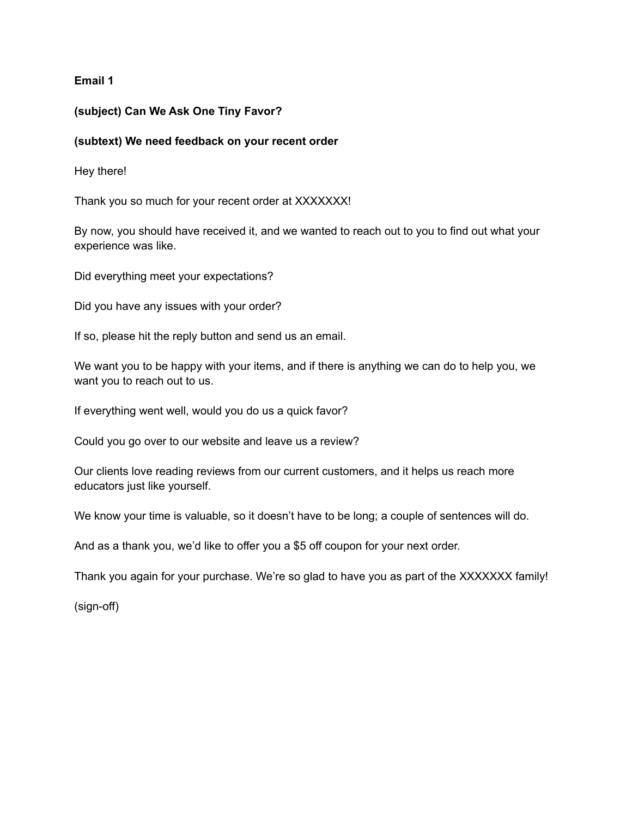## **Email 1**

## **(subject) Can We Ask One Tiny Favor?**

### **(subtext) We need feedback on your recent order**

Hey there!

Thank you so much for your recent order at XXXXXXX!

By now, you should have received it, and we wanted to reach out to you to find out what your experience was like.

Did everything meet your expectations?

Did you have any issues with your order?

If so, please hit the reply button and send us an email.

We want you to be happy with your items, and if there is anything we can do to help you, we want you to reach out to us.

If everything went well, would you do us a quick favor?

Could you go over to our website and leave us a review?

Our clients love reading reviews from our current customers, and it helps us reach more educators just like yourself.

We know your time is valuable, so it doesn't have to be long; a couple of sentences will do.

And as a thank you, we'd like to offer you a \$5 off coupon for your next order.

Thank you again for your purchase. We're so glad to have you as part of the XXXXXXX family!

(sign-off)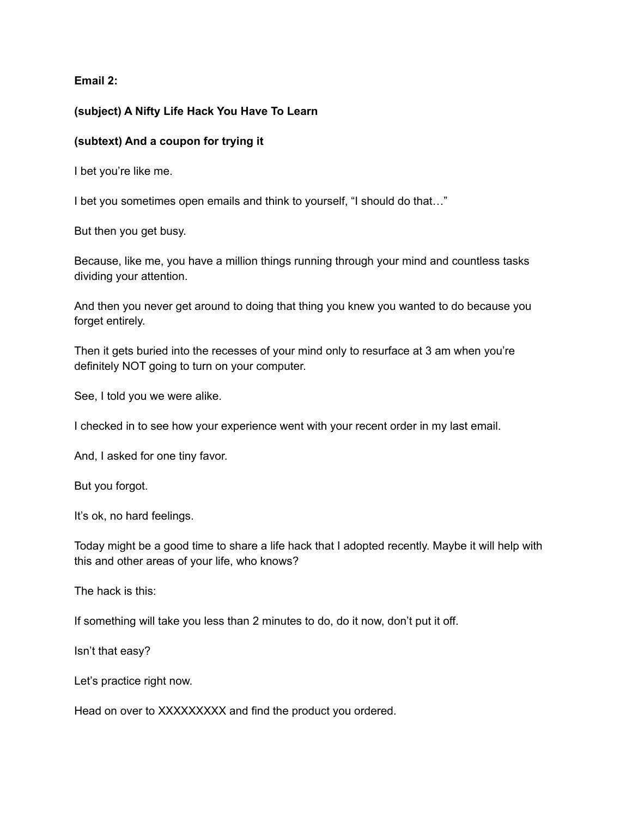**Email 2:**

# **(subject) A Nifty Life Hack You Have To Learn**

# **(subtext) And a coupon for trying it**

I bet you're like me.

I bet you sometimes open emails and think to yourself, "I should do that…"

But then you get busy.

Because, like me, you have a million things running through your mind and countless tasks dividing your attention.

And then you never get around to doing that thing you knew you wanted to do because you forget entirely.

Then it gets buried into the recesses of your mind only to resurface at 3 am when you're definitely NOT going to turn on your computer.

See, I told you we were alike.

I checked in to see how your experience went with your recent order in my last email.

And, I asked for one tiny favor.

But you forgot.

It's ok, no hard feelings.

Today might be a good time to share a life hack that I adopted recently. Maybe it will help with this and other areas of your life, who knows?

The hack is this:

If something will take you less than 2 minutes to do, do it now, don't put it off.

Isn't that easy?

Let's practice right now.

Head on over to XXXXXXXXX and find the product you ordered.